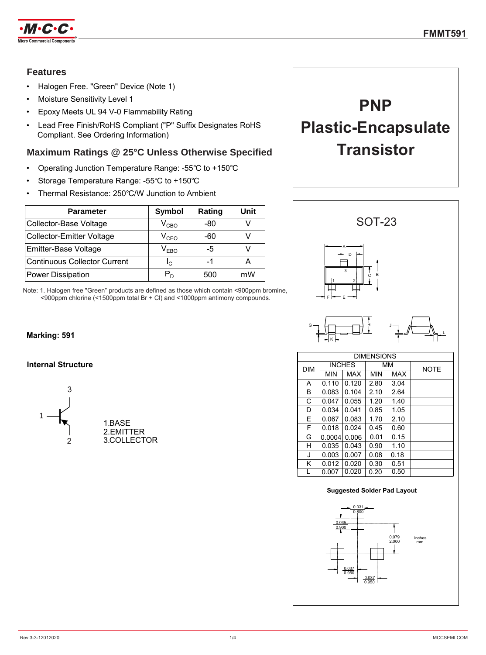

### **Features**

- Halogen Free. "Green" Device (Note 1)
- Moisture Sensitivity Level 1
- Epoxy Meets UL 94 V-0 Flammability Rating
- Lead Free Finish/RoHS Compliant ("P" Suffix Designates RoHS Compliant. See Ordering Information)

### **Maximum Ratings @ 25°C Unless Otherwise Specified**

- Operating Junction Temperature Range: -55℃ to +150℃
- Storage Temperature Range: -55℃ to +150℃
- Thermal Resistance: 250℃/W Junction to Ambient

| <b>Parameter</b>                    | Symbol        | Rating | Unit |
|-------------------------------------|---------------|--------|------|
| Collector-Base Voltage              | $\rm V_{CBO}$ | -80    |      |
| <b>Collector-Emitter Voltage</b>    | $V_{CEO}$     | -60    |      |
| Emitter-Base Voltage                | $V_{EBO}$     | -5     |      |
| <b>Continuous Collector Current</b> | $I_{\rm C}$   | -1     |      |
| Power Dissipation                   | $P_D$         | 500    | mW   |

Note: 1. Halogen free "Green" products are defined as those which contain <900ppm bromine, <900ppm chlorine (<1500ppm total Br + Cl) and <1000ppm antimony compounds.

### **Marking: 591**

### **Internal Structure**





# **PNP**

# **Plastic-Encapsulate Transistor**



#### **Suggested Solder Pad Layout**

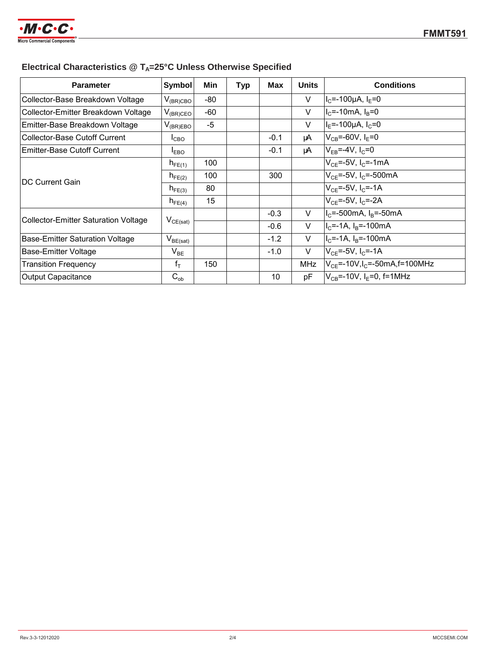

# **Electrical Characteristics @ TA=25°C Unless Otherwise Specified**

| <b>Parameter</b>                            | Symbol                                   | Min  | <b>Typ</b> | <b>Max</b> | <b>Units</b> | <b>Conditions</b>                               |
|---------------------------------------------|------------------------------------------|------|------------|------------|--------------|-------------------------------------------------|
| Collector-Base Breakdown Voltage            | $V_{(BR)CBO}$                            | -80  |            |            | V            | $I_c$ =-100µA, $I_E$ =0                         |
| Collector-Emitter Breakdown Voltage         | $V_{(BR)CEO}$                            | -60  |            |            | V            | $IC=-10mA, IB=0$                                |
| Emitter-Base Breakdown Voltage              | $V_{(BR)EBO}$                            | $-5$ |            |            | $\vee$       | $I_F$ =-100µA, $I_C$ =0                         |
| <b>Collector-Base Cutoff Current</b>        | $I_{CBO}$                                |      |            | $-0.1$     | μA           | $V_{CB} = -60V, I_F = 0$                        |
| Emitter-Base Cutoff Current                 | <b>I</b> EBO                             |      |            | $-0.1$     | μA           | $V_{FB} = -4V, I_C = 0$                         |
| <b>DC Current Gain</b>                      | $h_{FE(1)}$                              | 100  |            |            |              | $V_{CF} = -5V$ , I <sub>C</sub> = - 1 mA        |
|                                             | $h_{FE(2)}$                              | 100  |            | 300        |              | $V_{CF} = -5V$ , I <sub>C</sub> = -500mA        |
|                                             | $h_{FE(3)}$                              | 80   |            |            |              | $V_{CF} = -5V$ , $I_C = -1A$                    |
|                                             | $h_{\mathsf{FE}(4)}$                     | 15   |            |            |              | $V_{CF}$ =-5V, I <sub>C</sub> =-2A              |
| <b>Collector-Emitter Saturation Voltage</b> | $\mathsf{V}_{\mathsf{CE}(\mathsf{sat})}$ |      |            | $-0.3$     | V            | $I_c$ =-500mA, $I_R$ =-50mA                     |
|                                             |                                          |      |            | $-0.6$     | V            | $IC=-1A$ , $IB=-100mA$                          |
| Base-Emitter Saturation Voltage             | $\mathsf{V}_{\mathsf{BE}(\mathsf{sat})}$ |      |            | $-1.2$     | V            | $IC=-1A$ , $IB=-100$ mA                         |
| Base-Emitter Voltage                        | $\mathsf{V}_{\mathsf{BE}}$               |      |            | $-1.0$     | V            | $V_{CF} = -5V, I_C = -1A$                       |
| <b>Transition Frequency</b>                 | $f_T$                                    | 150  |            |            | <b>MHz</b>   | $V_{CF}$ =-10V, I <sub>C</sub> =-50mA, f=100MHz |
| <b>Output Capacitance</b>                   | $C_{ob}$                                 |      |            | 10         | pF           | $V_{CB} = -10V$ , I <sub>F</sub> =0, f=1MHz     |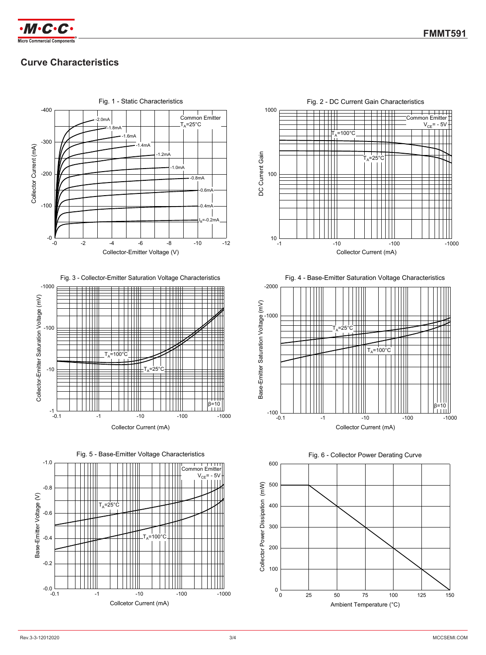

# **Curve Characteristics**



-0.1 -1 -10 -100 -100 -1000

-10 Collcetor Current (mA)



Fig. 4 - Base-Emitter Saturation Voltage Characteristics



Fig. 6 - Collector Power Derating Curve



 $-0.0 - 0.1$ 

-0.2